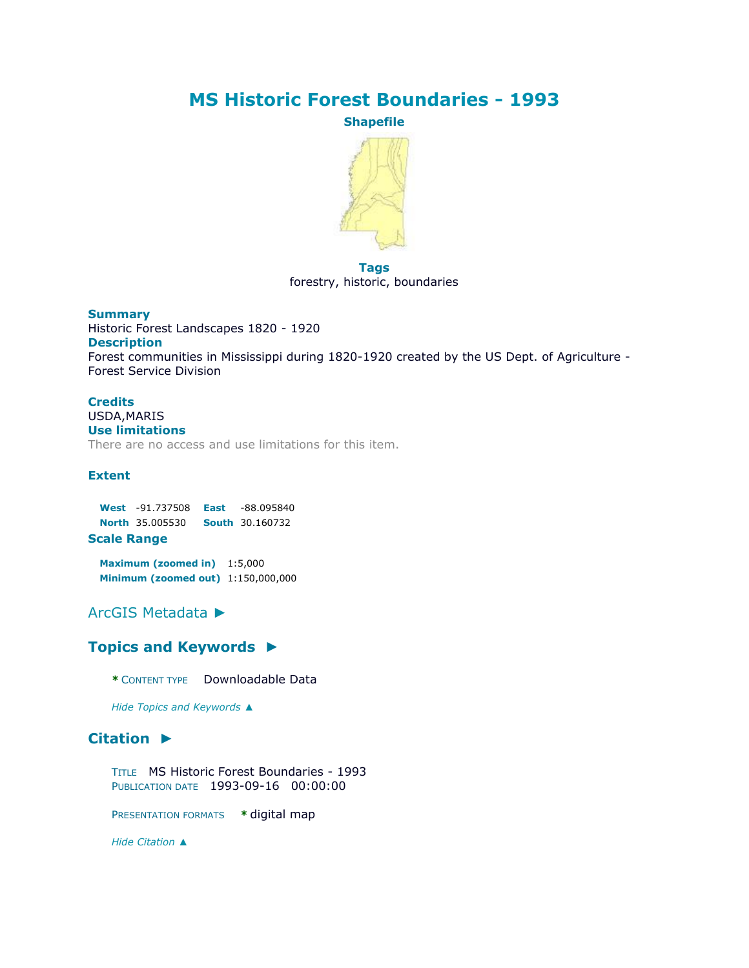# **MS Historic Forest Boundaries - 1993**

**Shapefile**



**Tags** forestry, historic, boundaries

#### **Summary** Historic Forest Landscapes 1820 - 1920 **Description** Forest communities in Mississippi during 1820-1920 created by the US Dept. of Agriculture - Forest Service Division

#### **Credits** USDA,MARIS **Use limitations** There are no access and use limitations for this item.

#### **Extent**

**West** -91.737508 **East** -88.095840 **North** 35.005530 **South** 30.160732 **Scale Range**

**Maximum (zoomed in)** 1:5,000 **Minimum (zoomed out)** 1:150,000,000

[ArcGIS Metadata](file:///C:/Users/swalker/AppData/Local/Temp/arc4EC9/tmpB698.tmp.htm%23arcgisMetadata) ►

### **[Topics and Keywords](file:///C:/Users/swalker/AppData/Local/Temp/arc4EC9/tmpB698.tmp.htm%23true) ►**

**\*** CONTENT TYPE Downloadable Data

*Hide [Topics and Keywords](file:///C:/Users/swalker/AppData/Local/Temp/arc4EC9/tmpB698.tmp.htm%23true) ▲*

## **[Citation](file:///C:/Users/swalker/AppData/Local/Temp/arc4EC9/tmpB698.tmp.htm%23ID0EJJA) ►**

TITLE MS Historic Forest Boundaries - 1993 PUBLICATION DATE 1993-09-16 00:00:00

PRESENTATION FORMATS **\*** digital map

*Hide [Citation](file:///C:/Users/swalker/AppData/Local/Temp/arc4EC9/tmpB698.tmp.htm%23ID0EJJA) ▲*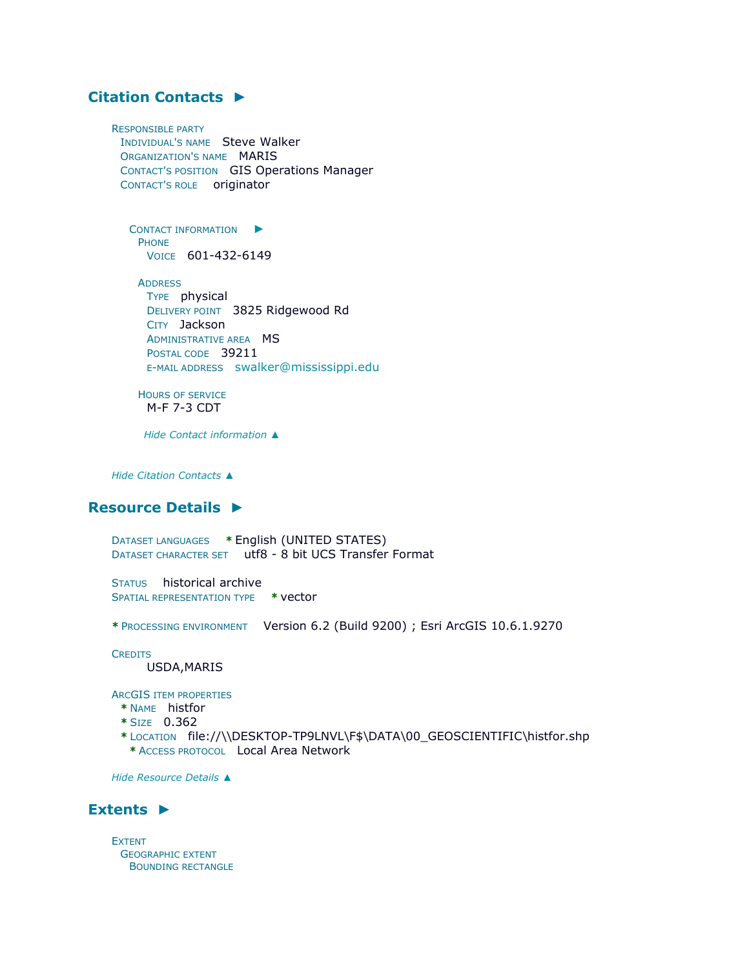## **[Citation Contacts](file:///C:/Users/swalker/AppData/Local/Temp/arc4EC9/tmpB698.tmp.htm%23ID0EAJJA) ►**

RESPONSIBLE PARTY INDIVIDUAL'S NAME Steve Walker ORGANIZATION'S NAME MARIS CONTACT'S POSITION GIS Operations Manager CONTACT'S ROLE originator

C[ONTACT INFORMATION](file:///C:/Users/swalker/AppData/Local/Temp/arc4EC9/tmpB698.tmp.htm%23ID0EAAJJA)  $\blacktriangleright$ PHONE VOICE 601-432-6149

**ADDRESS** TYPE physical DELIVERY POINT 3825 Ridgewood Rd CITY Jackson ADMINISTRATIVE AREA MS POSTAL CODE 39211 E-MAIL ADDRESS [swalker@mississippi.edu](mailto:swalker@mississippi.edu?subject=MS%20Historic%20Forest%20Boundaries%20-%201993)

HOURS OF SERVICE M-F 7-3 CDT

*Hide [Contact information](file:///C:/Users/swalker/AppData/Local/Temp/arc4EC9/tmpB698.tmp.htm%23ID0EAAJJA) ▲*

*Hide [Citation Contacts](file:///C:/Users/swalker/AppData/Local/Temp/arc4EC9/tmpB698.tmp.htm%23ID0EAJJA) ▲*

#### **[Resource Details](file:///C:/Users/swalker/AppData/Local/Temp/arc4EC9/tmpB698.tmp.htm%23ID0EEBGMA) ►**

DATASET LANGUAGES **\*** English (UNITED STATES) DATASET CHARACTER SET utf8 - 8 bit UCS Transfer Format

STATUS historical archive SPATIAL REPRESENTATION TYPE **\*** vector

**\*** PROCESSING ENVIRONMENT Version 6.2 (Build 9200) ; Esri ArcGIS 10.6.1.9270

**CREDITS** 

USDA,MARIS

ARCGIS ITEM PROPERTIES

- **\*** NAME histfor
- **\*** SIZE 0.362
- **\*** LOCATION file://\\DESKTOP-TP9LNVL\F\$\DATA\00\_GEOSCIENTIFIC\histfor.shp **\*** ACCESS PROTOCOL Local Area Network

*Hide [Resource Details](file:///C:/Users/swalker/AppData/Local/Temp/arc4EC9/tmpB698.tmp.htm%23ID0EEBGMA) ▲*

### **[Extents](file:///C:/Users/swalker/AppData/Local/Temp/arc4EC9/tmpB698.tmp.htm%23ID0EEDBGMA) ►**

EXTENT GEOGRAPHIC EXTENT BOUNDING RECTANGLE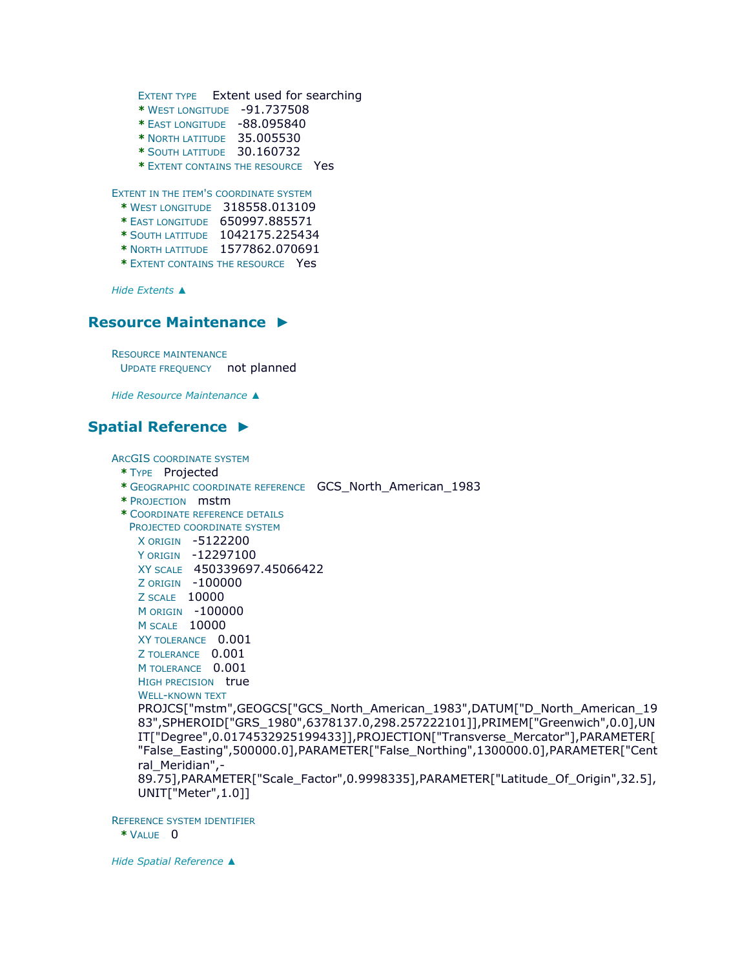```
EXTENT TYPE Extent used for searching 
* WEST LONGITUDE -91.737508 
* EAST LONGITUDE -88.095840 
* NORTH LATITUDE 35.005530 
* SOUTH LATITUDE 30.160732
```
**\*** EXTENT CONTAINS THE RESOURCE Yes

EXTENT IN THE ITEM'S COORDINATE SYSTEM

- **\*** WEST LONGITUDE 318558.013109
- **\*** EAST LONGITUDE 650997.885571
- **\*** SOUTH LATITUDE 1042175.225434
- **\*** NORTH LATITUDE 1577862.070691
- **\*** EXTENT CONTAINS THE RESOURCE Yes

*Hide [Extents](file:///C:/Users/swalker/AppData/Local/Temp/arc4EC9/tmpB698.tmp.htm%23ID0EEDBGMA) ▲*

#### **[Resource Maintenance](file:///C:/Users/swalker/AppData/Local/Temp/arc4EC9/tmpB698.tmp.htm%23ID0EAJA) ►**

RESOURCE MAINTENANCE UPDATE FREQUENCY not planned

*Hide [Resource Maintenance](file:///C:/Users/swalker/AppData/Local/Temp/arc4EC9/tmpB698.tmp.htm%23ID0EAJA) ▲*

## **[Spatial Reference](file:///C:/Users/swalker/AppData/Local/Temp/arc4EC9/tmpB698.tmp.htm%23ID0EEAGMA) ►**

ARCGIS COORDINATE SYSTEM

- **\*** TYPE Projected
- **\*** GEOGRAPHIC COORDINATE REFERENCE GCS\_North\_American\_1983
- **\*** PROJECTION mstm
- **\*** COORDINATE REFERENCE DETAILS
	- PROJECTED COORDINATE SYSTEM
		- X ORIGIN -5122200

Y ORIGIN -12297100

- XY SCALE 450339697.45066422
- Z ORIGIN -100000
- Z SCALE 10000
- M ORIGIN -100000
- M SCALE 10000
- XY TOLERANCE 0.001
- Z TOLERANCE 0.001
- M TOLERANCE 0.001
- HIGH PRECISION true

```
WELL-KNOWN TEXT
```
PROJCS["mstm",GEOGCS["GCS\_North\_American\_1983",DATUM["D\_North\_American\_19 83",SPHEROID["GRS\_1980",6378137.0,298.257222101]],PRIMEM["Greenwich",0.0],UN IT["Degree",0.0174532925199433]],PROJECTION["Transverse\_Mercator"],PARAMETER[ "False\_Easting",500000.0],PARAMETER["False\_Northing",1300000.0],PARAMETER["Cent ral Meridian",-

89.75],PARAMETER["Scale\_Factor",0.9998335],PARAMETER["Latitude\_Of\_Origin",32.5], UNIT["Meter",1.0]]

REFERENCE SYSTEM IDENTIFIER

**\*** VALUE 0

*Hide [Spatial Reference](file:///C:/Users/swalker/AppData/Local/Temp/arc4EC9/tmpB698.tmp.htm%23ID0EEAGMA) ▲*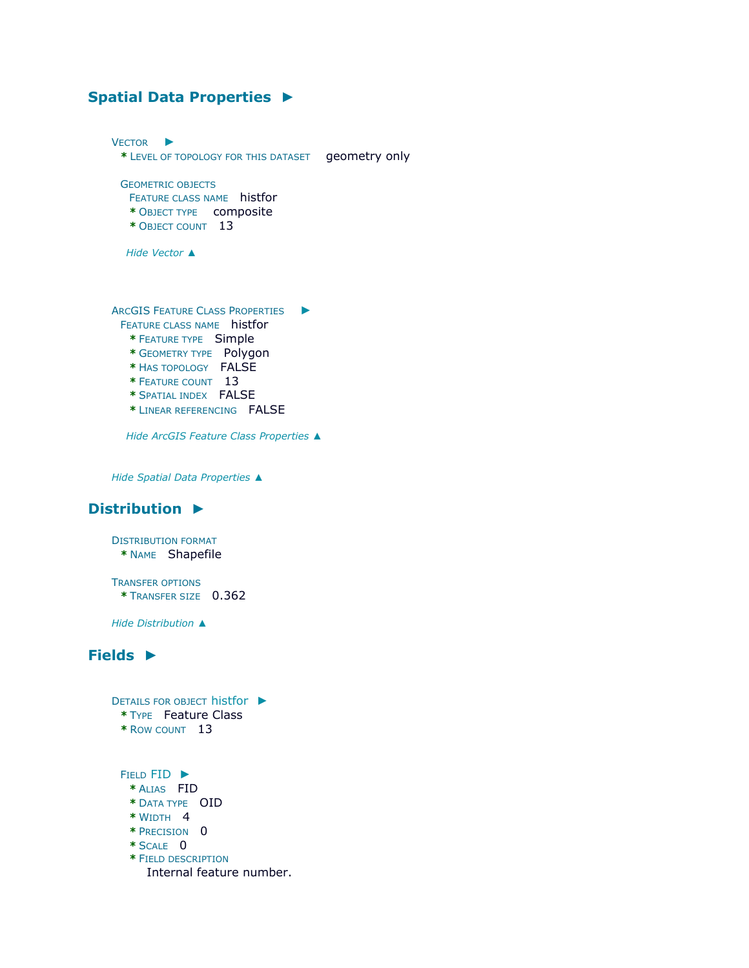# **[Spatial Data Properties](file:///C:/Users/swalker/AppData/Local/Temp/arc4EC9/tmpB698.tmp.htm%23ID0EADA) ►**

| <b>VECTOR</b><br>* LEVEL OF TOPOLOGY FOR THIS DATASET                                                                                                                                                                         | geometry only |
|-------------------------------------------------------------------------------------------------------------------------------------------------------------------------------------------------------------------------------|---------------|
| <b>GEOMETRIC OBJECTS</b><br>FEATURE CLASS NAME histfor<br>* OBJECT TYPE composite<br>* OBJECT COUNT 13                                                                                                                        |               |
| Hide Vector ▲                                                                                                                                                                                                                 |               |
| <b>ARCGIS FEATURE CLASS PROPERTIES</b><br>FEATURE CLASS NAME histfor<br>* FEATURE TYPE Simple<br>* GEOMETRY TYPE Polygon<br>* HAS TOPOLOGY FALSE<br>* FEATURE COUNT 13<br>* SPATIAL INDEX FALSE<br>* LINEAR REFERENCING FALSE |               |
| Hide ArcGIS Feature Class Properties ▲                                                                                                                                                                                        |               |

*Hide [Spatial Data Properties](file:///C:/Users/swalker/AppData/Local/Temp/arc4EC9/tmpB698.tmp.htm%23ID0EADA) ▲*

## **[Distribution](file:///C:/Users/swalker/AppData/Local/Temp/arc4EC9/tmpB698.tmp.htm%23ID0EHA) ►**

DISTRIBUTION FORMAT **\*** NAME Shapefile

TRANSFER OPTIONS **\*** TRANSFER SIZE 0.362

*Hide [Distribution](file:///C:/Users/swalker/AppData/Local/Temp/arc4EC9/tmpB698.tmp.htm%23ID0EHA) ▲*

## **[Fields](file:///C:/Users/swalker/AppData/Local/Temp/arc4EC9/tmpB698.tmp.htm%23ID0ELA) ►**

D[ETAILS FOR OBJECT](file:///C:/Users/swalker/AppData/Local/Temp/arc4EC9/tmpB698.tmp.htm%23ID0EALA) histfor ► **\*** TYPE Feature Class **\*** ROW COUNT 13 FIELD [FID](file:///C:/Users/swalker/AppData/Local/Temp/arc4EC9/tmpB698.tmp.htm%23ID0EHALA) ► **\*** ALIAS FID **\*** DATA TYPE OID **\*** WIDTH 4 **\*** PRECISION 0 **\*** SCALE 0 **\*** FIELD DESCRIPTION Internal feature number.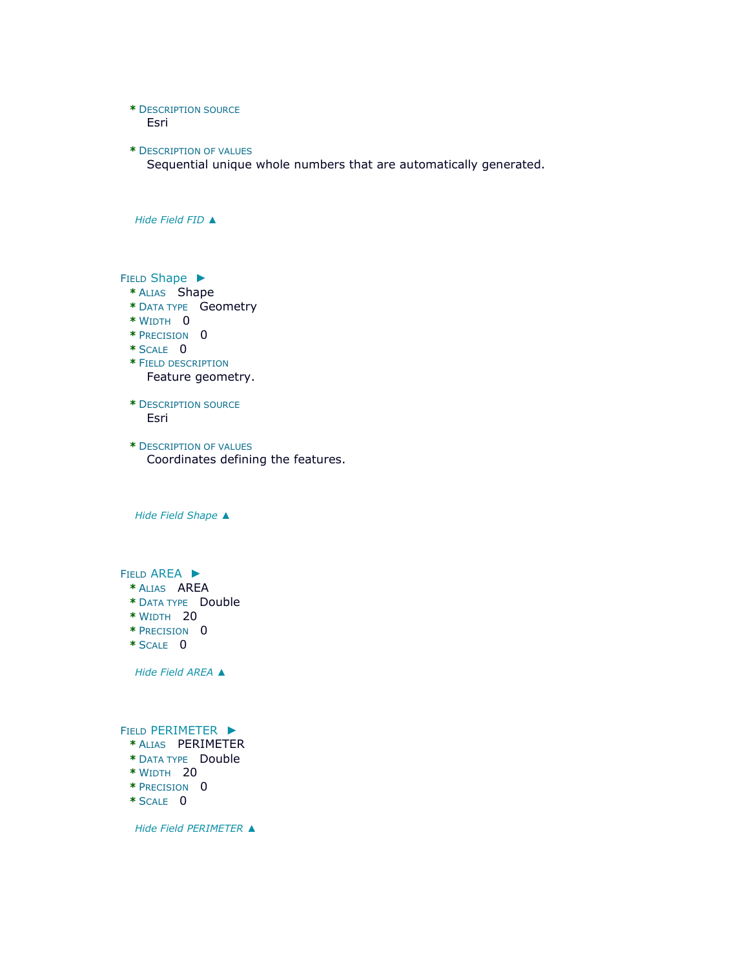#### **\*** DESCRIPTION SOURCE Esri

**\*** DESCRIPTION OF VALUES Sequential unique whole numbers that are automatically generated.

*Hide [Field](file:///C:/Users/swalker/AppData/Local/Temp/arc4EC9/tmpB698.tmp.htm%23ID0EHALA) FID ▲*

FIELD [Shape](file:///C:/Users/swalker/AppData/Local/Temp/arc4EC9/tmpB698.tmp.htm%23ID0EGALA) ►

- **\*** ALIAS Shape
- **\*** DATA TYPE Geometry
- **\*** WIDTH 0
- **\*** PRECISION 0
- **\*** SCALE 0
- **\*** FIELD DESCRIPTION Feature geometry.
- **\*** DESCRIPTION SOURCE Esri
- **\*** DESCRIPTION OF VALUES Coordinates defining the features.

*Hide Field [Shape](file:///C:/Users/swalker/AppData/Local/Temp/arc4EC9/tmpB698.tmp.htm%23ID0EGALA) ▲*

FIELD [AREA](file:///C:/Users/swalker/AppData/Local/Temp/arc4EC9/tmpB698.tmp.htm%23ID0EFALA) ►

- **\*** ALIAS AREA
- **\*** DATA TYPE Double
- **\*** WIDTH 20
- **\*** PRECISION 0
- **\*** SCALE 0

*Hide Field [AREA](file:///C:/Users/swalker/AppData/Local/Temp/arc4EC9/tmpB698.tmp.htm%23ID0EFALA) ▲*

FIELD [PERIMETER](file:///C:/Users/swalker/AppData/Local/Temp/arc4EC9/tmpB698.tmp.htm%23ID0EEALA) ►

- **\*** ALIAS PERIMETER
- **\*** DATA TYPE Double
- **\*** WIDTH 20
- **\*** PRECISION 0
- **\*** SCALE 0

*Hide Field [PERIMETER](file:///C:/Users/swalker/AppData/Local/Temp/arc4EC9/tmpB698.tmp.htm%23ID0EEALA) ▲*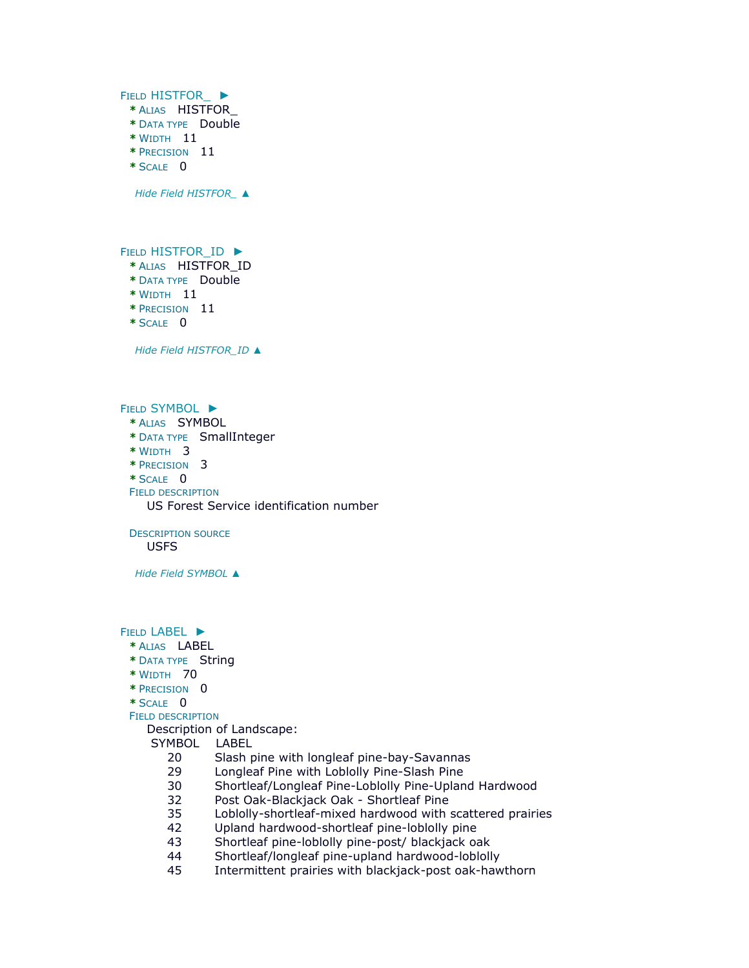FIELD [HISTFOR\\_](file:///C:/Users/swalker/AppData/Local/Temp/arc4EC9/tmpB698.tmp.htm%23ID0EDALA) ► **\*** ALIAS HISTFOR\_ **\*** DATA TYPE Double **\*** WIDTH 11 **\*** PRECISION 11 **\*** SCALE 0 *Hide Field [HISTFOR\\_](file:///C:/Users/swalker/AppData/Local/Temp/arc4EC9/tmpB698.tmp.htm%23ID0EDALA) ▲*

FIELD HISTFOR ID ►

- **\*** ALIAS HISTFOR\_ID
- **\*** DATA TYPE Double
- **\*** WIDTH 11
- **\*** PRECISION 11
- **\*** SCALE 0

*Hide Field [HISTFOR\\_ID](file:///C:/Users/swalker/AppData/Local/Temp/arc4EC9/tmpB698.tmp.htm%23ID0ECALA) ▲*

FIELD [SYMBOL](file:///C:/Users/swalker/AppData/Local/Temp/arc4EC9/tmpB698.tmp.htm%23ID0EBALA) ▶

- **\*** ALIAS SYMBOL
- **\*** DATA TYPE SmallInteger
- **\*** WIDTH 3
- **\*** PRECISION 3
- **\*** SCALE 0
- FIELD DESCRIPTION

US Forest Service identification number

DESCRIPTION SOURCE

USFS

*Hide Field [SYMBOL](file:///C:/Users/swalker/AppData/Local/Temp/arc4EC9/tmpB698.tmp.htm%23ID0EBALA) ▲*

FIELD [LABEL](file:///C:/Users/swalker/AppData/Local/Temp/arc4EC9/tmpB698.tmp.htm%23ID0EAALA) ►

- **\*** ALIAS LABEL
- **\*** DATA TYPE String
- **\*** WIDTH 70
- **\*** PRECISION 0
- **\*** SCALE 0

FIELD DESCRIPTION

Description of Landscape:

SYMBOL LABEL

- 20 Slash pine with longleaf pine-bay-Savannas
- 29 Longleaf Pine with Loblolly Pine-Slash Pine
- 30 Shortleaf/Longleaf Pine-Loblolly Pine-Upland Hardwood
- 32 Post Oak-Blackjack Oak Shortleaf Pine
- 35 Loblolly-shortleaf-mixed hardwood with scattered prairies
- 42 Upland hardwood-shortleaf pine-loblolly pine
- 43 Shortleaf pine-loblolly pine-post/ blackjack oak
- 44 Shortleaf/longleaf pine-upland hardwood-loblolly
- Intermittent prairies with blackjack-post oak-hawthorn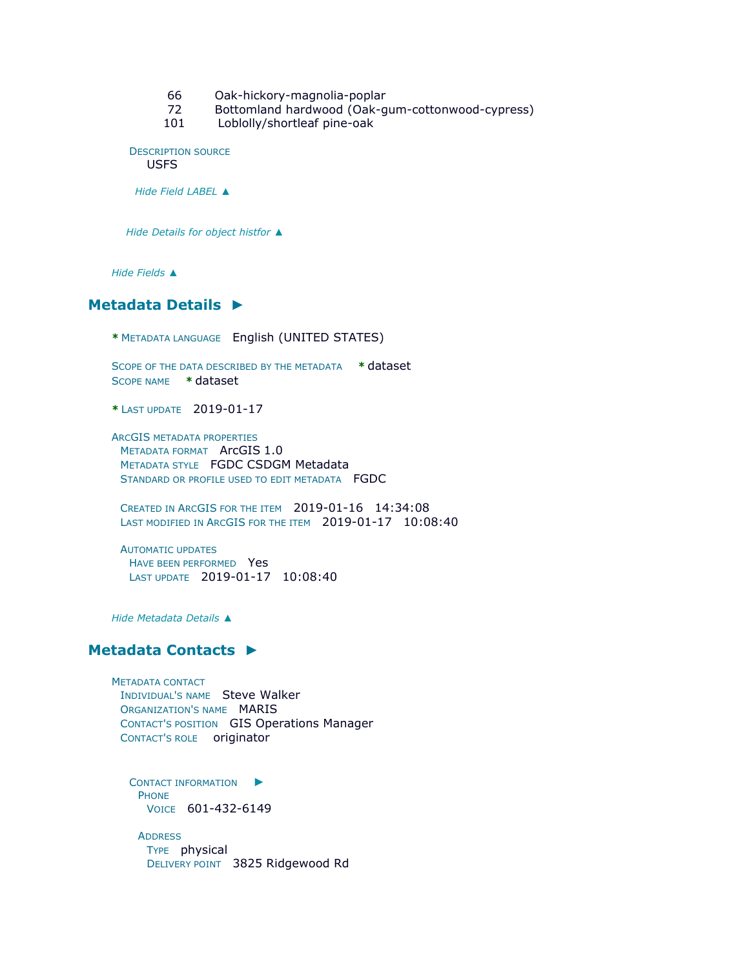- 66 Oak-hickory-magnolia-poplar
- 72 Bottomland hardwood (Oak-gum-cottonwood-cypress)
- 101 Loblolly/shortleaf pine-oak

DESCRIPTION SOURCE

USFS

*Hide Field [LABEL](file:///C:/Users/swalker/AppData/Local/Temp/arc4EC9/tmpB698.tmp.htm%23ID0EAALA) ▲*

*Hide [Details for object](file:///C:/Users/swalker/AppData/Local/Temp/arc4EC9/tmpB698.tmp.htm%23ID0EALA) histfor ▲*

*Hide [Fields](file:///C:/Users/swalker/AppData/Local/Temp/arc4EC9/tmpB698.tmp.htm%23ID0ELA) ▲*

## **[Metadata Details](file:///C:/Users/swalker/AppData/Local/Temp/arc4EC9/tmpB698.tmp.htm%23ID0TALMA) ►**

**\*** METADATA LANGUAGE English (UNITED STATES)

SCOPE OF THE DATA DESCRIBED BY THE METADATA **\*** dataset SCOPE NAME **\*** dataset

**\*** LAST UPDATE 2019-01-17

ARCGIS METADATA PROPERTIES METADATA FORMAT ArcGIS 1.0 METADATA STYLE FGDC CSDGM Metadata STANDARD OR PROFILE USED TO EDIT METADATA FGDC

CREATED IN ARCGIS FOR THE ITEM 2019-01-16 14:34:08 LAST MODIFIED IN ARCGIS FOR THE ITEM 2019-01-17 10:08:40

AUTOMATIC UPDATES HAVE BEEN PERFORMED Yes LAST UPDATE 2019-01-17 10:08:40

*Hide [Metadata Details](file:///C:/Users/swalker/AppData/Local/Temp/arc4EC9/tmpB698.tmp.htm%23ID0TALMA) ▲*

#### **[Metadata Contacts](file:///C:/Users/swalker/AppData/Local/Temp/arc4EC9/tmpB698.tmp.htm%23ID0EAA) ►**

METADATA CONTACT INDIVIDUAL'S NAME Steve Walker ORGANIZATION'S NAME MARIS CONTACT'S POSITION GIS Operations Manager CONTACT'S ROLE originator

C[ONTACT INFORMATION](file:///C:/Users/swalker/AppData/Local/Temp/arc4EC9/tmpB698.tmp.htm%23ID0EBAA)  $\blacktriangleright$ PHONE VOICE 601-432-6149

**ADDRESS** TYPE physical DELIVERY POINT 3825 Ridgewood Rd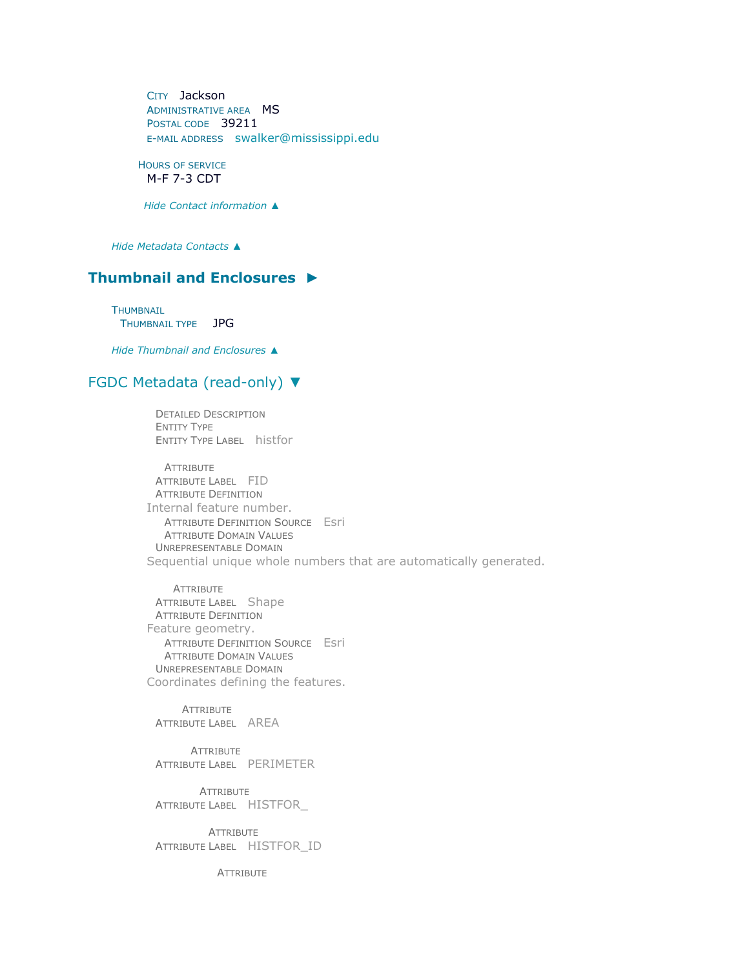CITY Jackson ADMINISTRATIVE AREA MS POSTAL CODE 39211 E-MAIL ADDRESS [swalker@mississippi.edu](mailto:swalker@mississippi.edu?subject=MS%20Historic%20Forest%20Boundaries%20-%201993)

HOURS OF SERVICE M-F 7-3 CDT

*Hide [Contact information](file:///C:/Users/swalker/AppData/Local/Temp/arc4EC9/tmpB698.tmp.htm%23ID0EBAA) ▲*

*Hide [Metadata Contacts](file:///C:/Users/swalker/AppData/Local/Temp/arc4EC9/tmpB698.tmp.htm%23ID0EAA) ▲*

## **[Thumbnail and Enclosures](file:///C:/Users/swalker/AppData/Local/Temp/arc4EC9/tmpB698.tmp.htm%23ID0EKA) ►**

THUMBNAIL THUMBNAIL TYPE JPG

*Hide [Thumbnail and Enclosures](file:///C:/Users/swalker/AppData/Local/Temp/arc4EC9/tmpB698.tmp.htm%23ID0EKA) ▲*

#### [FGDC Metadata \(read-only\)](file:///C:/Users/swalker/AppData/Local/Temp/arc4EC9/tmpB698.tmp.htm%23fgdcMetadata) ▼

DETAILED DESCRIPTION ENTITY TYPE ENTITY TYPE LABEL histfor

ATTRIBUTE ATTRIBUTE LABEL FID ATTRIBUTE DEFINITION Internal feature number. ATTRIBUTE DEFINITION SOURCE Esri ATTRIBUTE DOMAIN VALUES UNREPRESENTABLE DOMAIN Sequential unique whole numbers that are automatically generated.

**ATTRIBUTE** ATTRIBUTE LABEL Shape ATTRIBUTE DEFINITION Feature geometry. ATTRIBUTE DEFINITION SOURCE Esri ATTRIBUTE DOMAIN VALUES UNREPRESENTABLE DOMAIN Coordinates defining the features.

**ATTRIBUTE** ATTRIBUTE LABEL AREA

**ATTRIBUTE** ATTRIBUTE LABEL PERIMETER

ATTRIBUTE ATTRIBUTE LABEL HISTFOR\_

**ATTRIBUTE** ATTRIBUTE LABEL HISTFOR\_ID

**ATTRIBUTE**